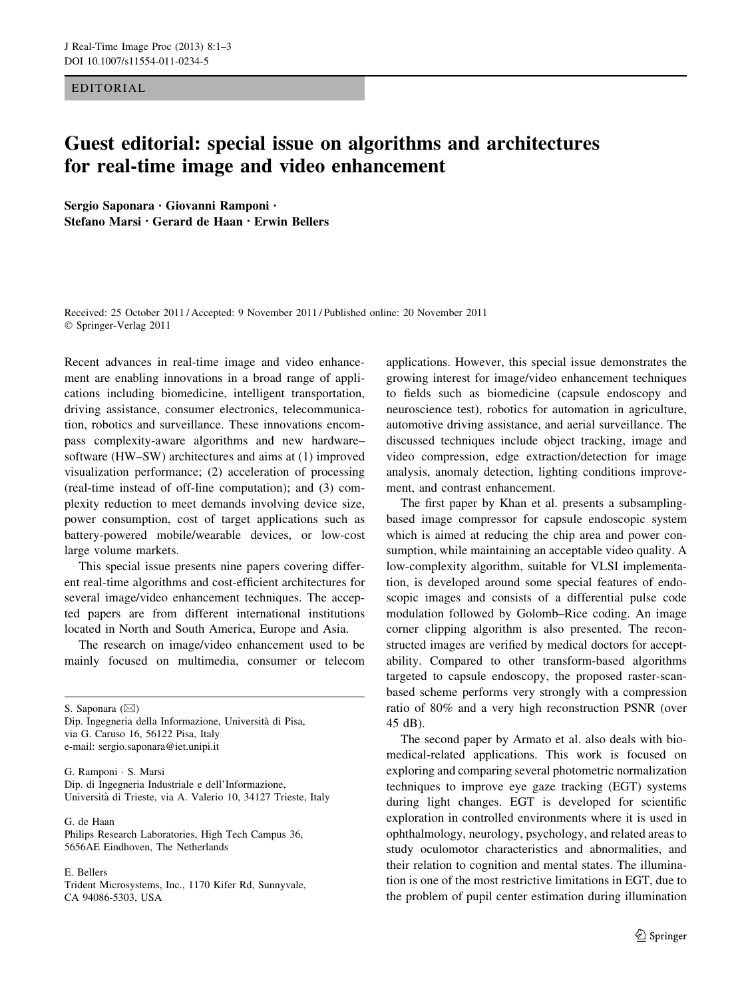EDITORIAL

## Guest editorial: special issue on algorithms and architectures for real-time image and video enhancement

Sergio Saponara • Giovanni Ramponi • Stefano Marsi • Gerard de Haan • Erwin Bellers

Received: 25 October 2011 / Accepted: 9 November 2011 / Published online: 20 November 2011 © Springer-Verlag 2011

Recent advances in real-time image and video enhancement are enabling innovations in a broad range of applications including biomedicine, intelligent transportation, driving assistance, consumer electronics, telecommunication, robotics and surveillance. These innovations encompass complexity-aware algorithms and new hardware– software (HW–SW) architectures and aims at (1) improved visualization performance; (2) acceleration of processing (real-time instead of off-line computation); and (3) complexity reduction to meet demands involving device size, power consumption, cost of target applications such as battery-powered mobile/wearable devices, or low-cost large volume markets.

This special issue presents nine papers covering different real-time algorithms and cost-efficient architectures for several image/video enhancement techniques. The accepted papers are from different international institutions located in North and South America, Europe and Asia.

The research on image/video enhancement used to be mainly focused on multimedia, consumer or telecom

S. Saponara  $(\boxtimes)$ 

Dip. Ingegneria della Informazione, Universita` di Pisa, via G. Caruso 16, 56122 Pisa, Italy e-mail: sergio.saponara@iet.unipi.it

G. Ramponi - S. Marsi Dip. di Ingegneria Industriale e dell'Informazione, Universita` di Trieste, via A. Valerio 10, 34127 Trieste, Italy

G. de Haan Philips Research Laboratories, High Tech Campus 36, 5656AE Eindhoven, The Netherlands

E. Bellers

Trident Microsystems, Inc., 1170 Kifer Rd, Sunnyvale, CA 94086-5303, USA

applications. However, this special issue demonstrates the growing interest for image/video enhancement techniques to fields such as biomedicine (capsule endoscopy and neuroscience test), robotics for automation in agriculture, automotive driving assistance, and aerial surveillance. The discussed techniques include object tracking, image and video compression, edge extraction/detection for image analysis, anomaly detection, lighting conditions improvement, and contrast enhancement.

The first paper by Khan et al. presents a subsamplingbased image compressor for capsule endoscopic system which is aimed at reducing the chip area and power consumption, while maintaining an acceptable video quality. A low-complexity algorithm, suitable for VLSI implementation, is developed around some special features of endoscopic images and consists of a differential pulse code modulation followed by Golomb–Rice coding. An image corner clipping algorithm is also presented. The reconstructed images are verified by medical doctors for acceptability. Compared to other transform-based algorithms targeted to capsule endoscopy, the proposed raster-scanbased scheme performs very strongly with a compression ratio of 80% and a very high reconstruction PSNR (over 45 dB).

The second paper by Armato et al. also deals with biomedical-related applications. This work is focused on exploring and comparing several photometric normalization techniques to improve eye gaze tracking (EGT) systems during light changes. EGT is developed for scientific exploration in controlled environments where it is used in ophthalmology, neurology, psychology, and related areas to study oculomotor characteristics and abnormalities, and their relation to cognition and mental states. The illumination is one of the most restrictive limitations in EGT, due to the problem of pupil center estimation during illumination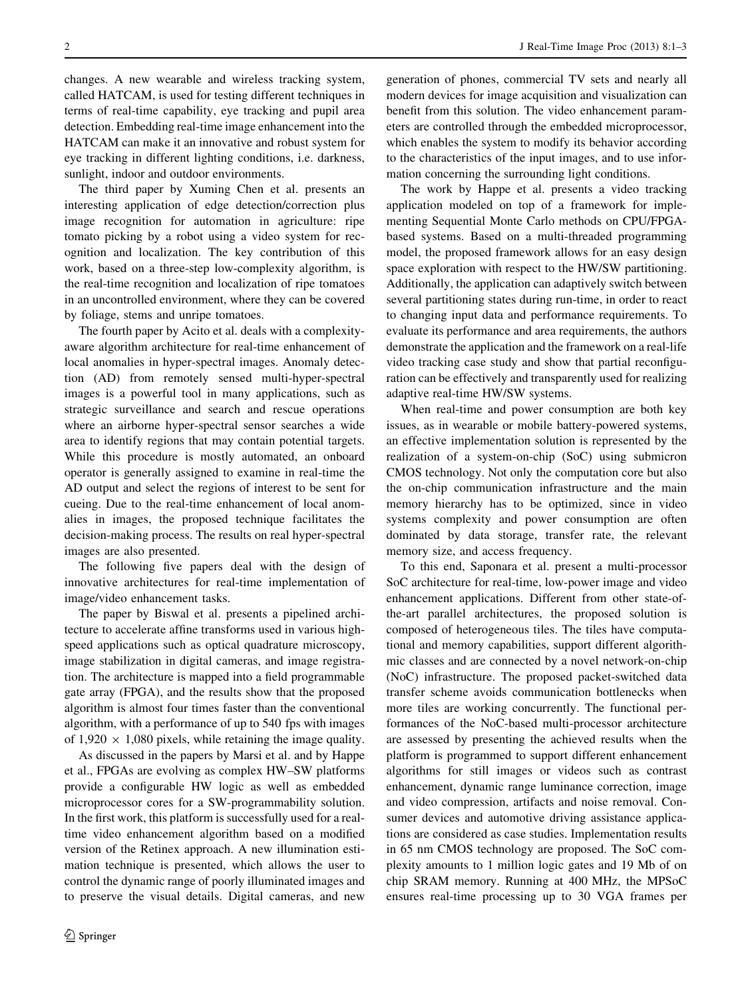changes. A new wearable and wireless tracking system, called HATCAM, is used for testing different techniques in terms of real-time capability, eye tracking and pupil area detection. Embedding real-time image enhancement into the HATCAM can make it an innovative and robust system for eye tracking in different lighting conditions, i.e. darkness, sunlight, indoor and outdoor environments.

The third paper by Xuming Chen et al. presents an interesting application of edge detection/correction plus image recognition for automation in agriculture: ripe tomato picking by a robot using a video system for recognition and localization. The key contribution of this work, based on a three-step low-complexity algorithm, is the real-time recognition and localization of ripe tomatoes in an uncontrolled environment, where they can be covered by foliage, stems and unripe tomatoes.

The fourth paper by Acito et al. deals with a complexityaware algorithm architecture for real-time enhancement of local anomalies in hyper-spectral images. Anomaly detection (AD) from remotely sensed multi-hyper-spectral images is a powerful tool in many applications, such as strategic surveillance and search and rescue operations where an airborne hyper-spectral sensor searches a wide area to identify regions that may contain potential targets. While this procedure is mostly automated, an onboard operator is generally assigned to examine in real-time the AD output and select the regions of interest to be sent for cueing. Due to the real-time enhancement of local anomalies in images, the proposed technique facilitates the decision-making process. The results on real hyper-spectral images are also presented.

The following five papers deal with the design of innovative architectures for real-time implementation of image/video enhancement tasks.

The paper by Biswal et al. presents a pipelined architecture to accelerate affine transforms used in various highspeed applications such as optical quadrature microscopy, image stabilization in digital cameras, and image registration. The architecture is mapped into a field programmable gate array (FPGA), and the results show that the proposed algorithm is almost four times faster than the conventional algorithm, with a performance of up to 540 fps with images of  $1,920 \times 1,080$  pixels, while retaining the image quality.

As discussed in the papers by Marsi et al. and by Happe et al., FPGAs are evolving as complex HW–SW platforms provide a configurable HW logic as well as embedded microprocessor cores for a SW-programmability solution. In the first work, this platform is successfully used for a realtime video enhancement algorithm based on a modified version of the Retinex approach. A new illumination estimation technique is presented, which allows the user to control the dynamic range of poorly illuminated images and to preserve the visual details. Digital cameras, and new generation of phones, commercial TV sets and nearly all modern devices for image acquisition and visualization can benefit from this solution. The video enhancement parameters are controlled through the embedded microprocessor, which enables the system to modify its behavior according to the characteristics of the input images, and to use information concerning the surrounding light conditions.

The work by Happe et al. presents a video tracking application modeled on top of a framework for implementing Sequential Monte Carlo methods on CPU/FPGAbased systems. Based on a multi-threaded programming model, the proposed framework allows for an easy design space exploration with respect to the HW/SW partitioning. Additionally, the application can adaptively switch between several partitioning states during run-time, in order to react to changing input data and performance requirements. To evaluate its performance and area requirements, the authors demonstrate the application and the framework on a real-life video tracking case study and show that partial reconfiguration can be effectively and transparently used for realizing adaptive real-time HW/SW systems.

When real-time and power consumption are both key issues, as in wearable or mobile battery-powered systems, an effective implementation solution is represented by the realization of a system-on-chip (SoC) using submicron CMOS technology. Not only the computation core but also the on-chip communication infrastructure and the main memory hierarchy has to be optimized, since in video systems complexity and power consumption are often dominated by data storage, transfer rate, the relevant memory size, and access frequency.

To this end, Saponara et al. present a multi-processor SoC architecture for real-time, low-power image and video enhancement applications. Different from other state-ofthe-art parallel architectures, the proposed solution is composed of heterogeneous tiles. The tiles have computational and memory capabilities, support different algorithmic classes and are connected by a novel network-on-chip (NoC) infrastructure. The proposed packet-switched data transfer scheme avoids communication bottlenecks when more tiles are working concurrently. The functional performances of the NoC-based multi-processor architecture are assessed by presenting the achieved results when the platform is programmed to support different enhancement algorithms for still images or videos such as contrast enhancement, dynamic range luminance correction, image and video compression, artifacts and noise removal. Consumer devices and automotive driving assistance applications are considered as case studies. Implementation results in 65 nm CMOS technology are proposed. The SoC complexity amounts to 1 million logic gates and 19 Mb of on chip SRAM memory. Running at 400 MHz, the MPSoC ensures real-time processing up to 30 VGA frames per